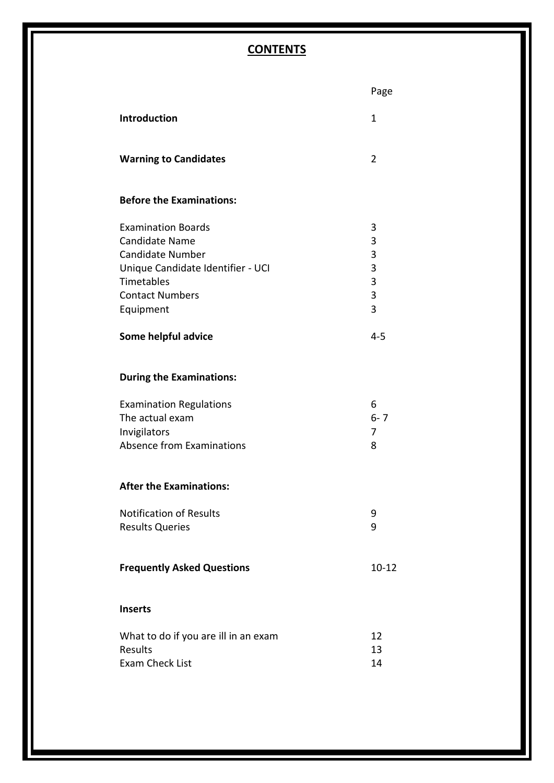### **CONTENTS**

|                                                                                                                                                                         | Page                            |
|-------------------------------------------------------------------------------------------------------------------------------------------------------------------------|---------------------------------|
| <b>Introduction</b>                                                                                                                                                     | 1                               |
| <b>Warning to Candidates</b>                                                                                                                                            | 2                               |
| <b>Before the Examinations:</b>                                                                                                                                         |                                 |
| <b>Examination Boards</b><br><b>Candidate Name</b><br><b>Candidate Number</b><br>Unique Candidate Identifier - UCI<br>Timetables<br><b>Contact Numbers</b><br>Equipment | 3<br>3<br>3<br>3<br>3<br>3<br>3 |
| Some helpful advice                                                                                                                                                     | $4 - 5$                         |
| <b>During the Examinations:</b>                                                                                                                                         |                                 |
| <b>Examination Regulations</b><br>The actual exam<br>Invigilators<br><b>Absence from Examinations</b>                                                                   | 6<br>$6 - 7$<br>7<br>8          |
| <b>After the Examinations:</b>                                                                                                                                          |                                 |
| <b>Notification of Results</b><br><b>Results Queries</b>                                                                                                                | 9<br>9                          |
| <b>Frequently Asked Questions</b>                                                                                                                                       | $10 - 12$                       |
| <b>Inserts</b>                                                                                                                                                          |                                 |
| What to do if you are ill in an exam<br><b>Results</b><br><b>Exam Check List</b>                                                                                        | 12<br>13<br>14                  |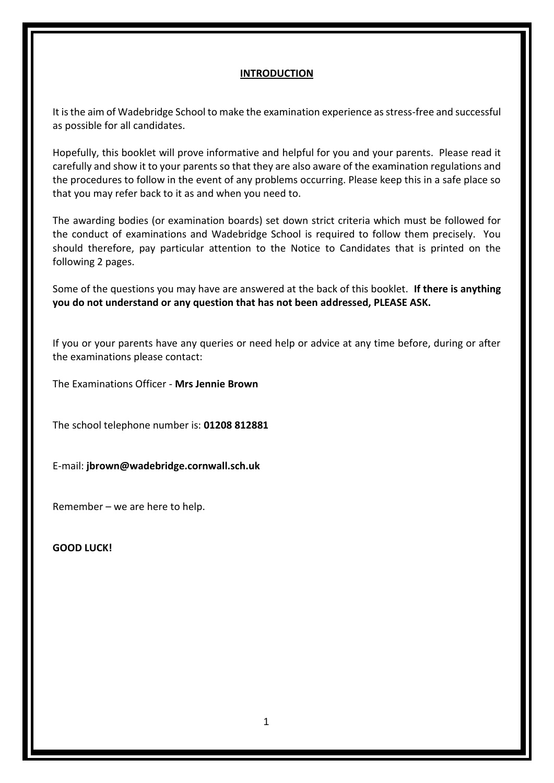#### **INTRODUCTION**

It is the aim of Wadebridge School to make the examination experience as stress-free and successful as possible for all candidates.

Hopefully, this booklet will prove informative and helpful for you and your parents. Please read it carefully and show it to your parents so that they are also aware of the examination regulations and the procedures to follow in the event of any problems occurring. Please keep this in a safe place so that you may refer back to it as and when you need to.

The awarding bodies (or examination boards) set down strict criteria which must be followed for the conduct of examinations and Wadebridge School is required to follow them precisely. You should therefore, pay particular attention to the Notice to Candidates that is printed on the following 2 pages.

Some of the questions you may have are answered at the back of this booklet. **If there is anything you do not understand or any question that has not been addressed, PLEASE ASK.**

If you or your parents have any queries or need help or advice at any time before, during or after the examinations please contact:

The Examinations Officer - **Mrs Jennie Brown**

The school telephone number is: **01208 812881**

E-mail: **jbrown@wadebridge.cornwall.sch.uk**

Remember – we are here to help.

**GOOD LUCK!**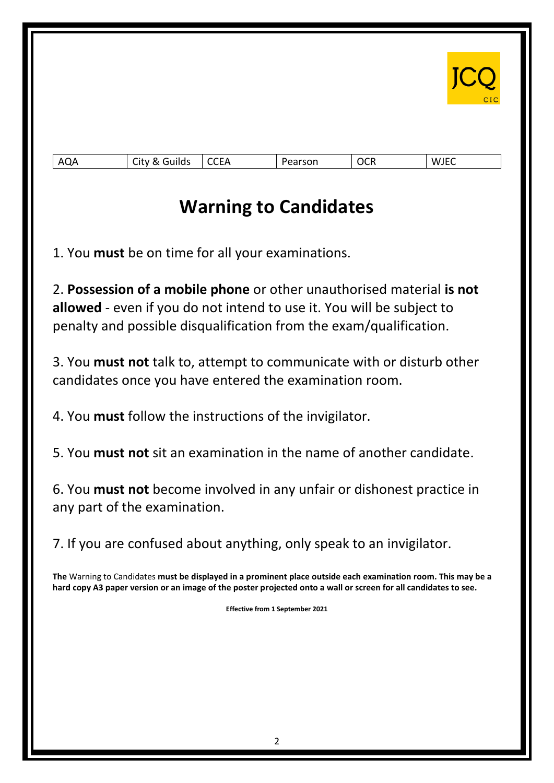

| -<br>∽<br>A(<br>QA.<br>. .<br>™lluJ<br>$\sim$<br>.<br>_ _ _ _ | $  -$<br>$\Lambda$<br>-<br>___ | . .<br>$-$ | ില<br>יישי | /JEC<br>w<br>_____ |
|---------------------------------------------------------------|--------------------------------|------------|------------|--------------------|
|---------------------------------------------------------------|--------------------------------|------------|------------|--------------------|

# **Warning to Candidates**

1. You **must** be on time for all your examinations.

2. **Possession of a mobile phone** or other unauthorised material **is not allowed** - even if you do not intend to use it. You will be subject to penalty and possible disqualification from the exam/qualification.

3. You **must not** talk to, attempt to communicate with or disturb other candidates once you have entered the examination room.

4. You **must** follow the instructions of the invigilator.

5. You **must not** sit an examination in the name of another candidate.

6. You **must not** become involved in any unfair or dishonest practice in any part of the examination.

7. If you are confused about anything, only speak to an invigilator.

**The** Warning to Candidates **must be displayed in a prominent place outside each examination room. This may be a hard copy A3 paper version or an image of the poster projected onto a wall or screen for all candidates to see.** 

**Effective from 1 September 2021**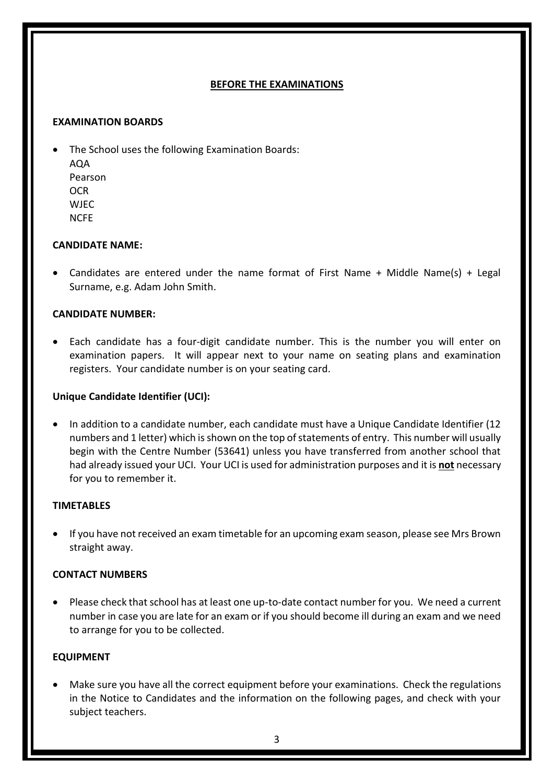#### **BEFORE THE EXAMINATIONS**

#### **EXAMINATION BOARDS**

• The School uses the following Examination Boards: AQA Pearson **OCR** WJEC NCFE

#### **CANDIDATE NAME:**

• Candidates are entered under the name format of First Name + Middle Name(s) + Legal Surname, e.g. Adam John Smith.

#### **CANDIDATE NUMBER:**

• Each candidate has a four-digit candidate number. This is the number you will enter on examination papers. It will appear next to your name on seating plans and examination registers. Your candidate number is on your seating card.

#### **Unique Candidate Identifier (UCI):**

• In addition to a candidate number, each candidate must have a Unique Candidate Identifier (12 numbers and 1 letter) which is shown on the top of statements of entry. This number will usually begin with the Centre Number (53641) unless you have transferred from another school that had already issued your UCI. Your UCI is used for administration purposes and it is **not** necessary for you to remember it.

#### **TIMETABLES**

• If you have not received an exam timetable for an upcoming exam season, please see Mrs Brown straight away.

#### **CONTACT NUMBERS**

• Please check that school has at least one up-to-date contact number for you. We need a current number in case you are late for an exam or if you should become ill during an exam and we need to arrange for you to be collected.

#### **EQUIPMENT**

• Make sure you have all the correct equipment before your examinations. Check the regulations in the Notice to Candidates and the information on the following pages, and check with your subject teachers.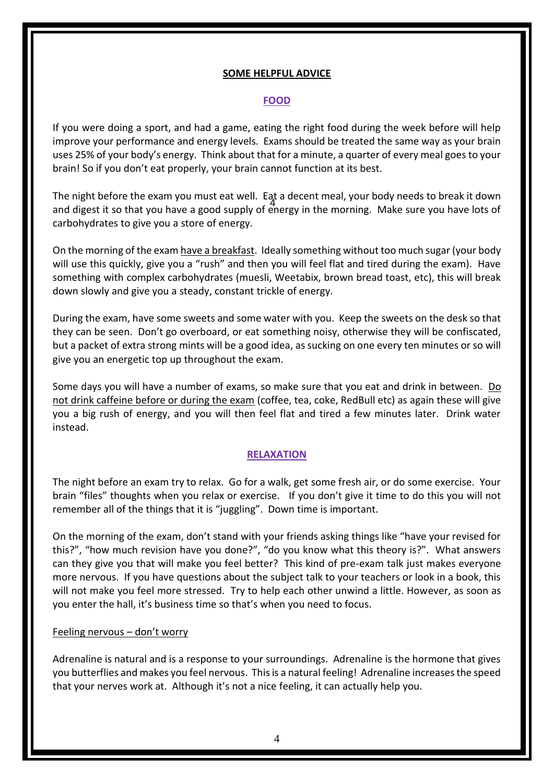#### **SOME HELPFUL ADVICE**

#### **FOOD**

If you were doing a sport, and had a game, eating the right food during the week before will help improve your performance and energy levels. Exams should be treated the same way as your brain uses 25% of your body's energy. Think about that for a minute, a quarter of every meal goes to your brain! So if you don't eat properly, your brain cannot function at its best.

And digest it so that you have a good supply of energy in the morning. Make sure you have lots of The night before the exam you must eat well. Eat a decent meal, your body needs to break it down carbohydrates to give you a store of energy.

On the morning of the exam have a breakfast. Ideally something without too much sugar (your body will use this quickly, give you a "rush" and then you will feel flat and tired during the exam). Have something with complex carbohydrates (muesli, Weetabix, brown bread toast, etc), this will break down slowly and give you a steady, constant trickle of energy.

During the exam, have some sweets and some water with you. Keep the sweets on the desk so that they can be seen. Don't go overboard, or eat something noisy, otherwise they will be confiscated, but a packet of extra strong mints will be a good idea, as sucking on one every ten minutes or so will give you an energetic top up throughout the exam.

Some days you will have a number of exams, so make sure that you eat and drink in between. Do not drink caffeine before or during the exam (coffee, tea, coke, RedBull etc) as again these will give you a big rush of energy, and you will then feel flat and tired a few minutes later. Drink water instead.

#### **RELAXATION**

The night before an exam try to relax. Go for a walk, get some fresh air, or do some exercise. Your brain "files" thoughts when you relax or exercise. If you don't give it time to do this you will not remember all of the things that it is "juggling". Down time is important.

On the morning of the exam, don't stand with your friends asking things like "have your revised for this?", "how much revision have you done?", "do you know what this theory is?". What answers can they give you that will make you feel better? This kind of pre-exam talk just makes everyone more nervous. If you have questions about the subject talk to your teachers or look in a book, this will not make you feel more stressed. Try to help each other unwind a little. However, as soon as you enter the hall, it's business time so that's when you need to focus.

#### Feeling nervous – don't worry

Adrenaline is natural and is a response to your surroundings. Adrenaline is the hormone that gives you butterflies and makes you feel nervous. This is a natural feeling! Adrenaline increases the speed that your nerves work at. Although it's not a nice feeling, it can actually help you.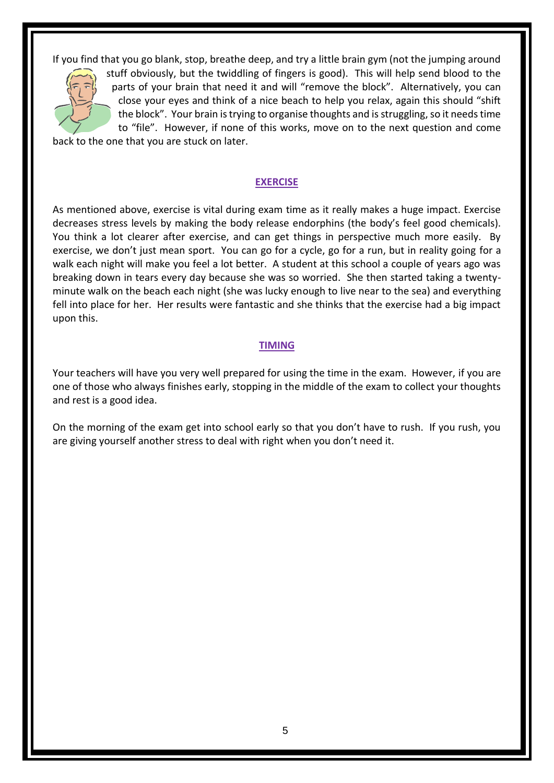If you find that you go blank, stop, breathe deep, and try a little brain gym (not the jumping around



stuff obviously, but the twiddling of fingers is good). This will help send blood to the parts of your brain that need it and will "remove the block". Alternatively, you can close your eyes and think of a nice beach to help you relax, again this should "shift the block". Your brain is trying to organise thoughts and is struggling, so it needs time to "file". However, if none of this works, move on to the next question and come

back to the one that you are stuck on later.

#### **EXERCISE**

As mentioned above, exercise is vital during exam time as it really makes a huge impact. Exercise decreases stress levels by making the body release endorphins (the body's feel good chemicals). You think a lot clearer after exercise, and can get things in perspective much more easily. By exercise, we don't just mean sport. You can go for a cycle, go for a run, but in reality going for a walk each night will make you feel a lot better. A student at this school a couple of years ago was breaking down in tears every day because she was so worried. She then started taking a twentyminute walk on the beach each night (she was lucky enough to live near to the sea) and everything fell into place for her. Her results were fantastic and she thinks that the exercise had a big impact upon this.

#### **TIMING**

Your teachers will have you very well prepared for using the time in the exam. However, if you are one of those who always finishes early, stopping in the middle of the exam to collect your thoughts and rest is a good idea.

On the morning of the exam get into school early so that you don't have to rush. If you rush, you are giving yourself another stress to deal with right when you don't need it.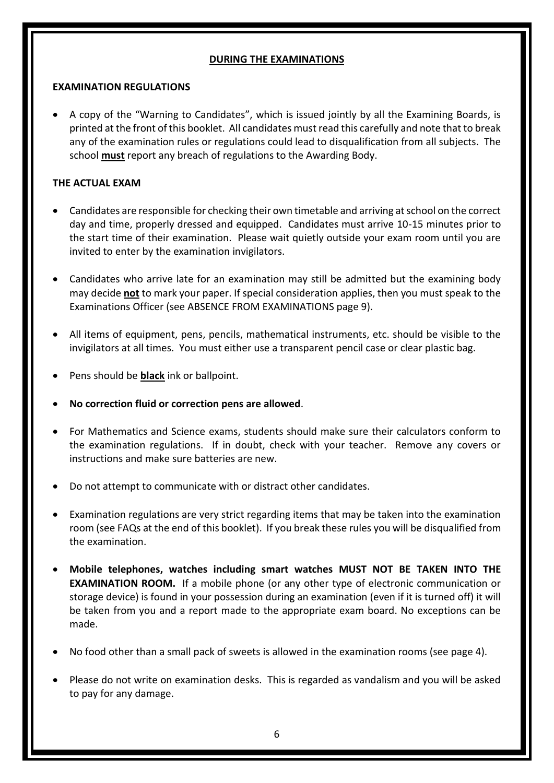#### **DURING THE EXAMINATIONS**

#### **EXAMINATION REGULATIONS**

• A copy of the "Warning to Candidates", which is issued jointly by all the Examining Boards, is printed at the front of this booklet. All candidates must read this carefully and note that to break any of the examination rules or regulations could lead to disqualification from all subjects. The school **must** report any breach of regulations to the Awarding Body.

#### **THE ACTUAL EXAM**

- Candidates are responsible for checking their own timetable and arriving at school on the correct day and time, properly dressed and equipped. Candidates must arrive 10-15 minutes prior to the start time of their examination. Please wait quietly outside your exam room until you are invited to enter by the examination invigilators.
- Candidates who arrive late for an examination may still be admitted but the examining body may decide **not** to mark your paper. If special consideration applies, then you must speak to the Examinations Officer (see ABSENCE FROM EXAMINATIONS page 9).
- All items of equipment, pens, pencils, mathematical instruments, etc. should be visible to the invigilators at all times. You must either use a transparent pencil case or clear plastic bag.
- Pens should be **black** ink or ballpoint.
- **No correction fluid or correction pens are allowed**.
- For Mathematics and Science exams, students should make sure their calculators conform to the examination regulations. If in doubt, check with your teacher. Remove any covers or instructions and make sure batteries are new.
- Do not attempt to communicate with or distract other candidates.
- Examination regulations are very strict regarding items that may be taken into the examination room (see FAQs at the end of this booklet). If you break these rules you will be disqualified from the examination.
- **Mobile telephones, watches including smart watches MUST NOT BE TAKEN INTO THE EXAMINATION ROOM.** If a mobile phone (or any other type of electronic communication or storage device) is found in your possession during an examination (even if it is turned off) it will be taken from you and a report made to the appropriate exam board. No exceptions can be made.
- No food other than a small pack of sweets is allowed in the examination rooms (see page 4).
- Please do not write on examination desks. This is regarded as vandalism and you will be asked to pay for any damage.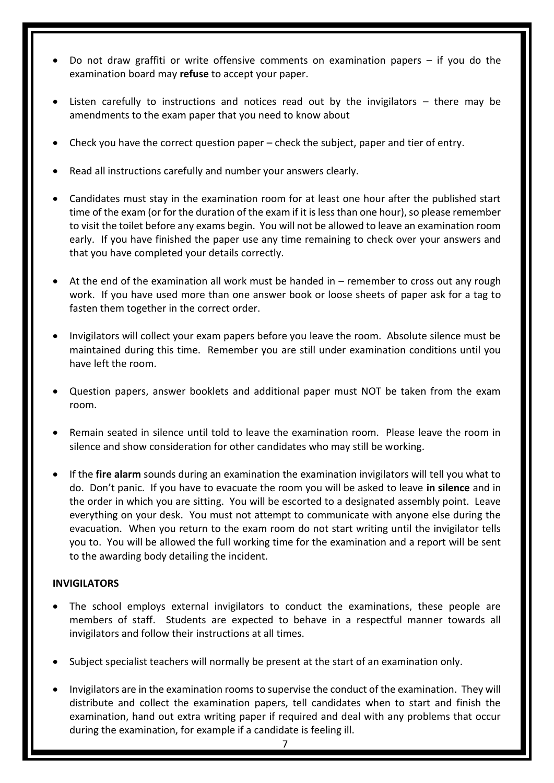- Do not draw graffiti or write offensive comments on examination papers  $-$  if you do the examination board may **refuse** to accept your paper.
- Listen carefully to instructions and notices read out by the invigilators  $-$  there may be amendments to the exam paper that you need to know about
- Check you have the correct question paper check the subject, paper and tier of entry.
- Read all instructions carefully and number your answers clearly.
- Candidates must stay in the examination room for at least one hour after the published start time of the exam (or for the duration of the exam if it is less than one hour), so please remember to visit the toilet before any exams begin. You will not be allowed to leave an examination room early. If you have finished the paper use any time remaining to check over your answers and that you have completed your details correctly.
- At the end of the examination all work must be handed in remember to cross out any rough work. If you have used more than one answer book or loose sheets of paper ask for a tag to fasten them together in the correct order.
- Invigilators will collect your exam papers before you leave the room. Absolute silence must be maintained during this time. Remember you are still under examination conditions until you have left the room.
- Question papers, answer booklets and additional paper must NOT be taken from the exam room.
- Remain seated in silence until told to leave the examination room. Please leave the room in silence and show consideration for other candidates who may still be working.
- If the **fire alarm** sounds during an examination the examination invigilators will tell you what to do. Don't panic. If you have to evacuate the room you will be asked to leave **in silence** and in the order in which you are sitting. You will be escorted to a designated assembly point. Leave everything on your desk. You must not attempt to communicate with anyone else during the evacuation. When you return to the exam room do not start writing until the invigilator tells you to. You will be allowed the full working time for the examination and a report will be sent to the awarding body detailing the incident.

#### **INVIGILATORS**

- The school employs external invigilators to conduct the examinations, these people are members of staff. Students are expected to behave in a respectful manner towards all invigilators and follow their instructions at all times.
- Subject specialist teachers will normally be present at the start of an examination only.
- Invigilators are in the examination rooms to supervise the conduct of the examination. They will distribute and collect the examination papers, tell candidates when to start and finish the examination, hand out extra writing paper if required and deal with any problems that occur during the examination, for example if a candidate is feeling ill.

7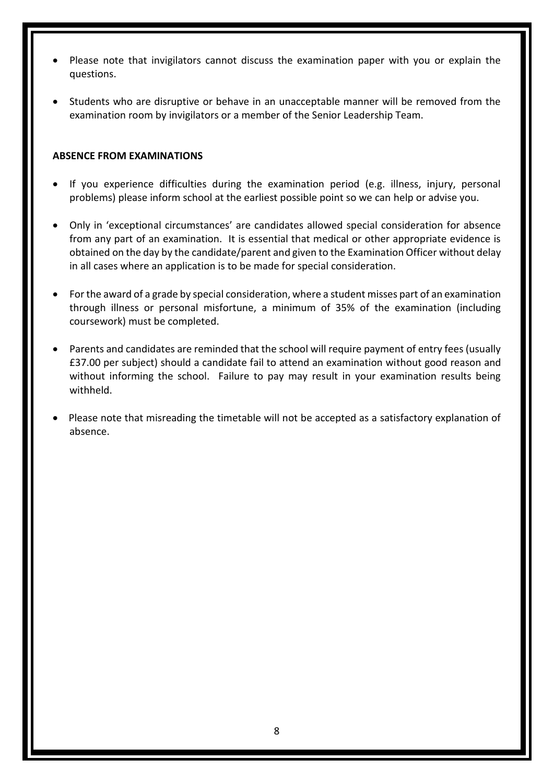- Please note that invigilators cannot discuss the examination paper with you or explain the questions.
- Students who are disruptive or behave in an unacceptable manner will be removed from the examination room by invigilators or a member of the Senior Leadership Team.

#### **ABSENCE FROM EXAMINATIONS**

- If you experience difficulties during the examination period (e.g. illness, injury, personal problems) please inform school at the earliest possible point so we can help or advise you.
- Only in 'exceptional circumstances' are candidates allowed special consideration for absence from any part of an examination. It is essential that medical or other appropriate evidence is obtained on the day by the candidate/parent and given to the Examination Officer without delay in all cases where an application is to be made for special consideration.
- For the award of a grade by special consideration, where a student misses part of an examination through illness or personal misfortune, a minimum of 35% of the examination (including coursework) must be completed.
- Parents and candidates are reminded that the school will require payment of entry fees (usually £37.00 per subject) should a candidate fail to attend an examination without good reason and without informing the school. Failure to pay may result in your examination results being withheld.
- Please note that misreading the timetable will not be accepted as a satisfactory explanation of absence.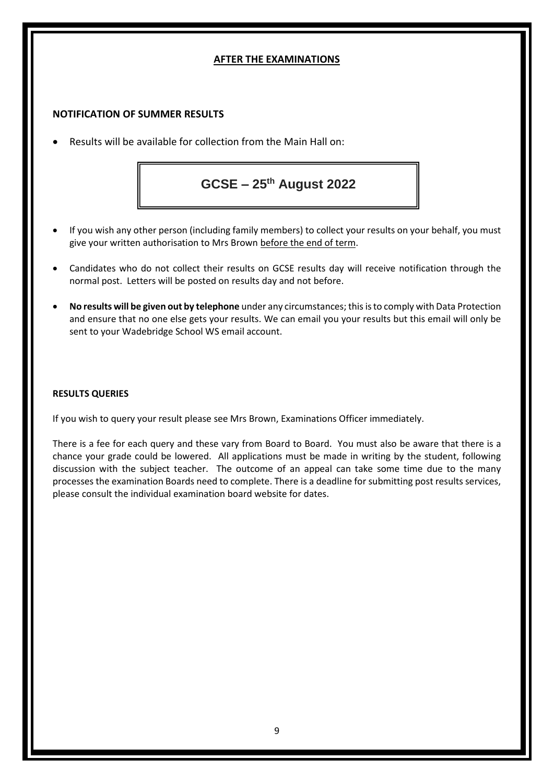#### **AFTER THE EXAMINATIONS**

#### **NOTIFICATION OF SUMMER RESULTS**

• Results will be available for collection from the Main Hall on:

**GCSE – 25th August 2022**

- If you wish any other person (including family members) to collect your results on your behalf, you must give your written authorisation to Mrs Brown before the end of term.
- Candidates who do not collect their results on GCSE results day will receive notification through the normal post. Letters will be posted on results day and not before.
- **No results will be given out by telephone** under any circumstances; this is to comply with Data Protection and ensure that no one else gets your results. We can email you your results but this email will only be sent to your Wadebridge School WS email account.

#### **RESULTS QUERIES**

If you wish to query your result please see Mrs Brown, Examinations Officer immediately.

There is a fee for each query and these vary from Board to Board. You must also be aware that there is a chance your grade could be lowered. All applications must be made in writing by the student, following discussion with the subject teacher. The outcome of an appeal can take some time due to the many processes the examination Boards need to complete. There is a deadline for submitting post results services, please consult the individual examination board website for dates.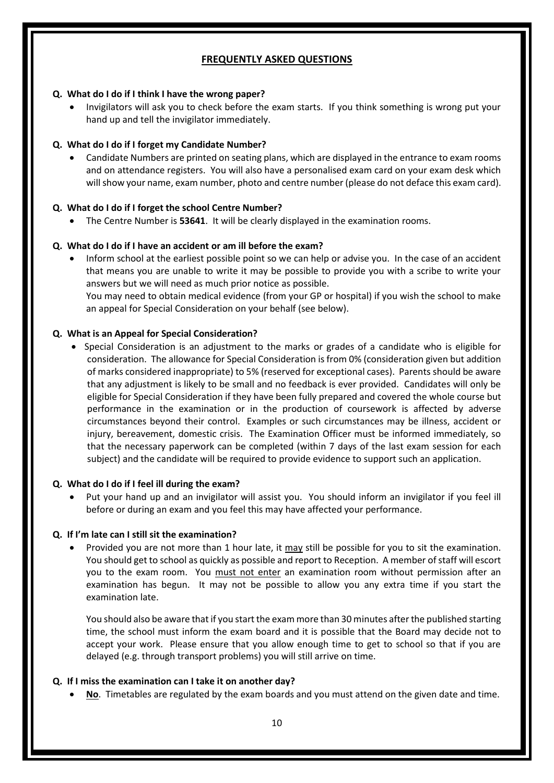#### **FREQUENTLY ASKED QUESTIONS**

#### **Q. What do I do if I think I have the wrong paper?**

• Invigilators will ask you to check before the exam starts. If you think something is wrong put your hand up and tell the invigilator immediately.

#### **Q. What do I do if I forget my Candidate Number?**

• Candidate Numbers are printed on seating plans, which are displayed in the entrance to exam rooms and on attendance registers. You will also have a personalised exam card on your exam desk which will show your name, exam number, photo and centre number (please do not deface this exam card).

#### **Q. What do I do if I forget the school Centre Number?**

• The Centre Number is **53641**. It will be clearly displayed in the examination rooms.

#### **Q. What do I do if I have an accident or am ill before the exam?**

• Inform school at the earliest possible point so we can help or advise you. In the case of an accident that means you are unable to write it may be possible to provide you with a scribe to write your answers but we will need as much prior notice as possible.

You may need to obtain medical evidence (from your GP or hospital) if you wish the school to make an appeal for Special Consideration on your behalf (see below).

#### **Q. What is an Appeal for Special Consideration?**

• Special Consideration is an adjustment to the marks or grades of a candidate who is eligible for consideration. The allowance for Special Consideration is from 0% (consideration given but addition of marks considered inappropriate) to 5% (reserved for exceptional cases). Parents should be aware that any adjustment is likely to be small and no feedback is ever provided. Candidates will only be eligible for Special Consideration if they have been fully prepared and covered the whole course but performance in the examination or in the production of coursework is affected by adverse circumstances beyond their control. Examples or such circumstances may be illness, accident or injury, bereavement, domestic crisis. The Examination Officer must be informed immediately, so that the necessary paperwork can be completed (within 7 days of the last exam session for each subject) and the candidate will be required to provide evidence to support such an application.

#### **Q. What do I do if I feel ill during the exam?**

• Put your hand up and an invigilator will assist you. You should inform an invigilator if you feel ill before or during an exam and you feel this may have affected your performance.

#### **Q. If I'm late can I still sit the examination?**

Provided you are not more than 1 hour late, it may still be possible for you to sit the examination. You should get to school as quickly as possible and report to Reception. A member of staff will escort you to the exam room. You must not enter an examination room without permission after an examination has begun. It may not be possible to allow you any extra time if you start the examination late.

You should also be aware that if you start the exam more than 30 minutes after the published starting time, the school must inform the exam board and it is possible that the Board may decide not to accept your work. Please ensure that you allow enough time to get to school so that if you are delayed (e.g. through transport problems) you will still arrive on time.

#### **Q. If I miss the examination can I take it on another day?**

• **No**. Timetables are regulated by the exam boards and you must attend on the given date and time.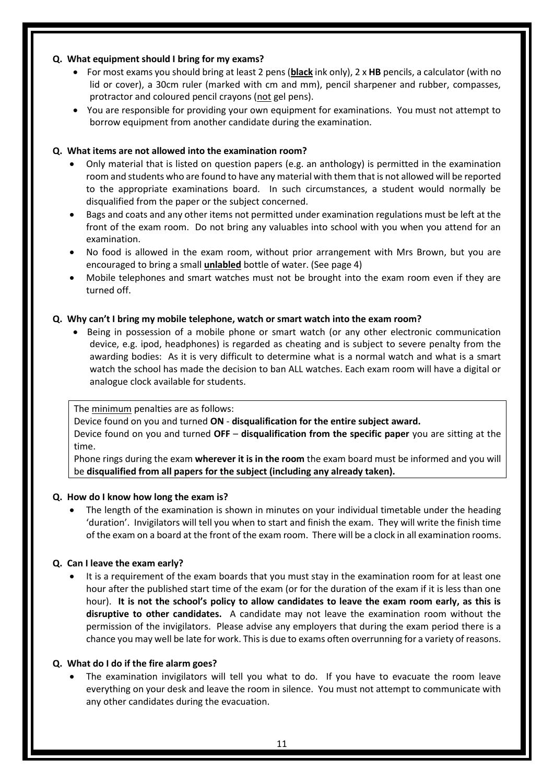#### **Q. What equipment should I bring for my exams?**

- For most exams you should bring at least 2 pens (**black** ink only), 2 x **HB** pencils, a calculator (with no lid or cover), a 30cm ruler (marked with cm and mm), pencil sharpener and rubber, compasses, protractor and coloured pencil crayons (not gel pens).
- You are responsible for providing your own equipment for examinations. You must not attempt to borrow equipment from another candidate during the examination.

#### **Q. What items are not allowed into the examination room?**

- Only material that is listed on question papers (e.g. an anthology) is permitted in the examination room and students who are found to have any material with them that is not allowed will be reported to the appropriate examinations board. In such circumstances, a student would normally be disqualified from the paper or the subject concerned.
- Bags and coats and any other items not permitted under examination regulations must be left at the front of the exam room. Do not bring any valuables into school with you when you attend for an examination.
- No food is allowed in the exam room, without prior arrangement with Mrs Brown, but you are encouraged to bring a small **unlabled** bottle of water. (See page 4)
- Mobile telephones and smart watches must not be brought into the exam room even if they are turned off.

#### **Q. Why can't I bring my mobile telephone, watch or smart watch into the exam room?**

• Being in possession of a mobile phone or smart watch (or any other electronic communication device, e.g. ipod, headphones) is regarded as cheating and is subject to severe penalty from the awarding bodies: As it is very difficult to determine what is a normal watch and what is a smart watch the school has made the decision to ban ALL watches. Each exam room will have a digital or analogue clock available for students.

The minimum penalties are as follows:

Device found on you and turned **ON** - **disqualification for the entire subject award.**

Device found on you and turned **OFF** – **disqualification from the specific paper** you are sitting at the time.

Phone rings during the exam **wherever it is in the room** the exam board must be informed and you will be **disqualified from all papers for the subject (including any already taken).**

#### **Q. How do I know how long the exam is?**

• The length of the examination is shown in minutes on your individual timetable under the heading 'duration'. Invigilators will tell you when to start and finish the exam. They will write the finish time of the exam on a board at the front of the exam room. There will be a clock in all examination rooms.

#### **Q. Can I leave the exam early?**

It is a requirement of the exam boards that you must stay in the examination room for at least one hour after the published start time of the exam (or for the duration of the exam if it is less than one hour). **It is not the school's policy to allow candidates to leave the exam room early, as this is disruptive to other candidates.** A candidate may not leave the examination room without the permission of the invigilators. Please advise any employers that during the exam period there is a chance you may well be late for work. This is due to exams often overrunning for a variety of reasons.

#### **Q. What do I do if the fire alarm goes?**

• The examination invigilators will tell you what to do. If you have to evacuate the room leave everything on your desk and leave the room in silence. You must not attempt to communicate with any other candidates during the evacuation.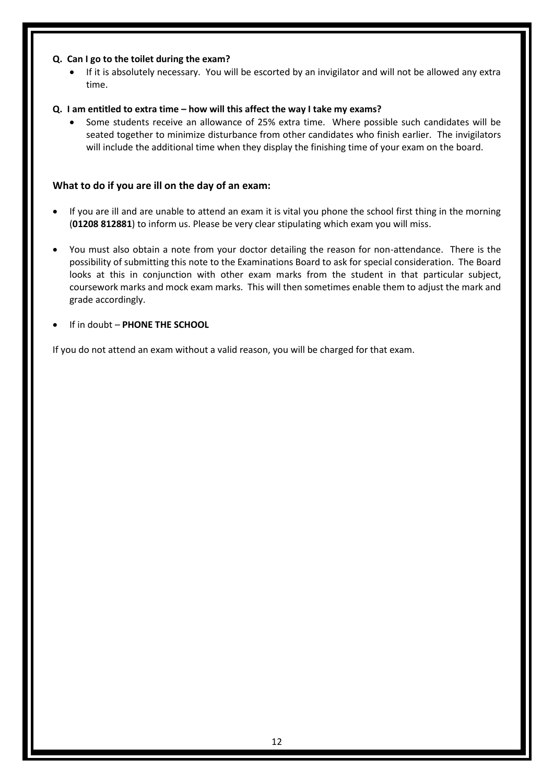#### **Q. Can I go to the toilet during the exam?**

• If it is absolutely necessary. You will be escorted by an invigilator and will not be allowed any extra time.

#### **Q. I am entitled to extra time – how will this affect the way I take my exams?**

• Some students receive an allowance of 25% extra time. Where possible such candidates will be seated together to minimize disturbance from other candidates who finish earlier. The invigilators will include the additional time when they display the finishing time of your exam on the board.

#### **What to do if you are ill on the day of an exam:**

- If you are ill and are unable to attend an exam it is vital you phone the school first thing in the morning (**01208 812881**) to inform us. Please be very clear stipulating which exam you will miss.
- You must also obtain a note from your doctor detailing the reason for non-attendance. There is the possibility of submitting this note to the Examinations Board to ask for special consideration. The Board looks at this in conjunction with other exam marks from the student in that particular subject, coursework marks and mock exam marks. This will then sometimes enable them to adjust the mark and grade accordingly.
- If in doubt **PHONE THE SCHOOL**

If you do not attend an exam without a valid reason, you will be charged for that exam.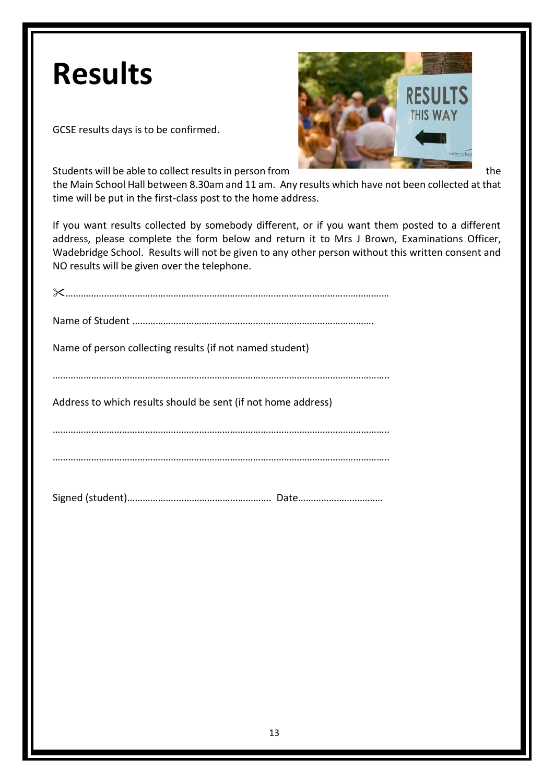# **Results**

GCSE results days is to be confirmed.



Students will be able to collect results in person from the the the the the the

the Main School Hall between 8.30am and 11 am. Any results which have not been collected at that time will be put in the first-class post to the home address.

If you want results collected by somebody different, or if you want them posted to a different address, please complete the form below and return it to Mrs J Brown, Examinations Officer, Wadebridge School. Results will not be given to any other person without this written consent and NO results will be given over the telephone.

| Name of person collecting results (if not named student)      |
|---------------------------------------------------------------|
|                                                               |
| Address to which results should be sent (if not home address) |
|                                                               |
|                                                               |
|                                                               |